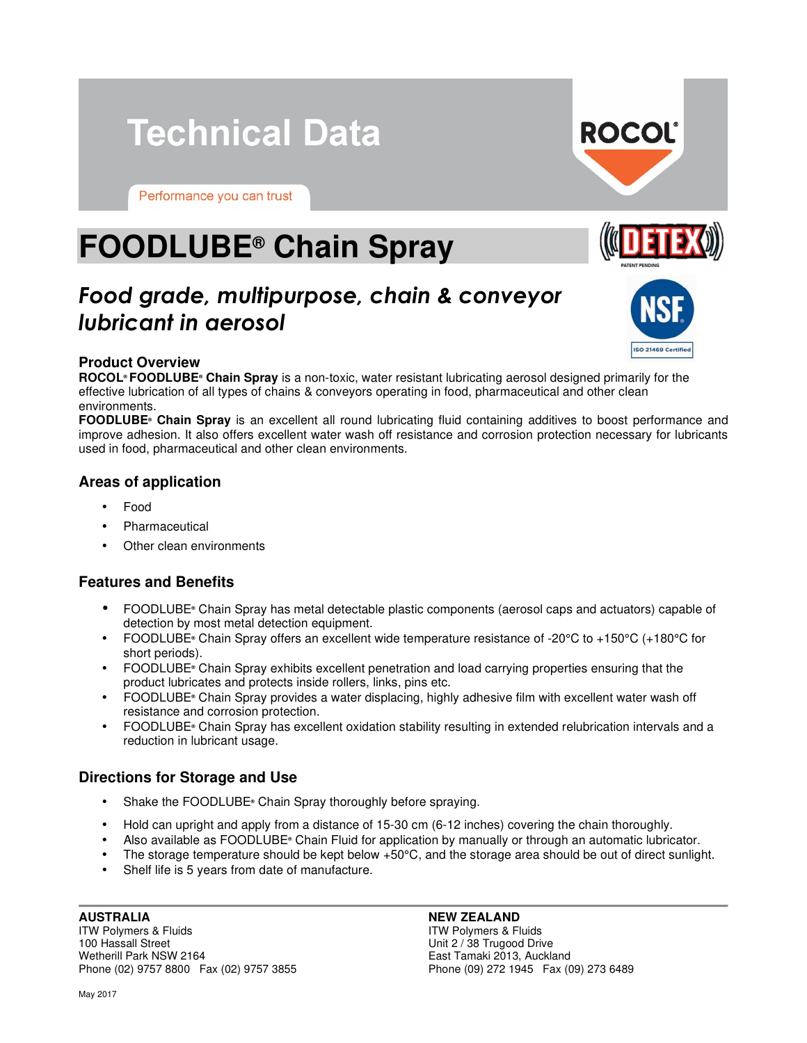# **Technical Data**

Performance you can trust

# **FOODLUBE® Chain Spray**

# *Food grade, multipurpose, chain & conveyor lubricant in aerosol*

#### **Product Overview**

**ROCOL® FOODLUBE® Chain Spray** is a non-toxic, water resistant lubricating aerosol designed primarily for the effective lubrication of all types of chains & conveyors operating in food, pharmaceutical and other clean environments.

**FOODLUBE® Chain Spray** is an excellent all round lubricating fluid containing additives to boost performance and improve adhesion. It also offers excellent water wash off resistance and corrosion protection necessary for lubricants used in food, pharmaceutical and other clean environments.

### **Areas of application**

- Food
- **Pharmaceutical**
- Other clean environments

### **Features and Benefits**

- FOODLUBE**®** Chain Spray has metal detectable plastic components (aerosol caps and actuators) capable of detection by most metal detection equipment.
- FOODLUBE**®** Chain Spray offers an excellent wide temperature resistance of -20°C to +150°C (+180°C for short periods).
- **•** FOODLUBE<sup>®</sup> Chain Spray exhibits excellent penetration and load carrying properties ensuring that the product lubricates and protects inside rollers, links, pins etc.
- **•** FOODLUBE<sup>®</sup> Chain Spray provides a water displacing, highly adhesive film with excellent water wash off resistance and corrosion protection.
- FOODLUBE<sup>®</sup> Chain Spray has excellent oxidation stability resulting in extended relubrication intervals and a reduction in lubricant usage.

### **Directions for Storage and Use**

- Shake the FOODLUBE**®** Chain Spray thoroughly before spraying.
- Hold can upright and apply from a distance of 15-30 cm (6-12 inches) covering the chain thoroughly.
- **•** Also available as FOODLUBE<sup>®</sup> Chain Fluid for application by manually or through an automatic lubricator.
- The storage temperature should be kept below +50°C, and the storage area should be out of direct sunlight.
- Shelf life is 5 years from date of manufacture.

#### **AUSTRALIA**  ITW Polymers & Fluids 100 Hassall Street Wetherill Park NSW 2164 Phone (02) 9757 8800 Fax (02) 9757 3855

ITW Polymers & Fluids Unit 2 / 38 Trugood Drive East Tamaki 2013, Auckland Phone (09) 272 1945 Fax (09) 273 6489

May 2017

ISO 21469 Certifier



**NEW ZEALAND**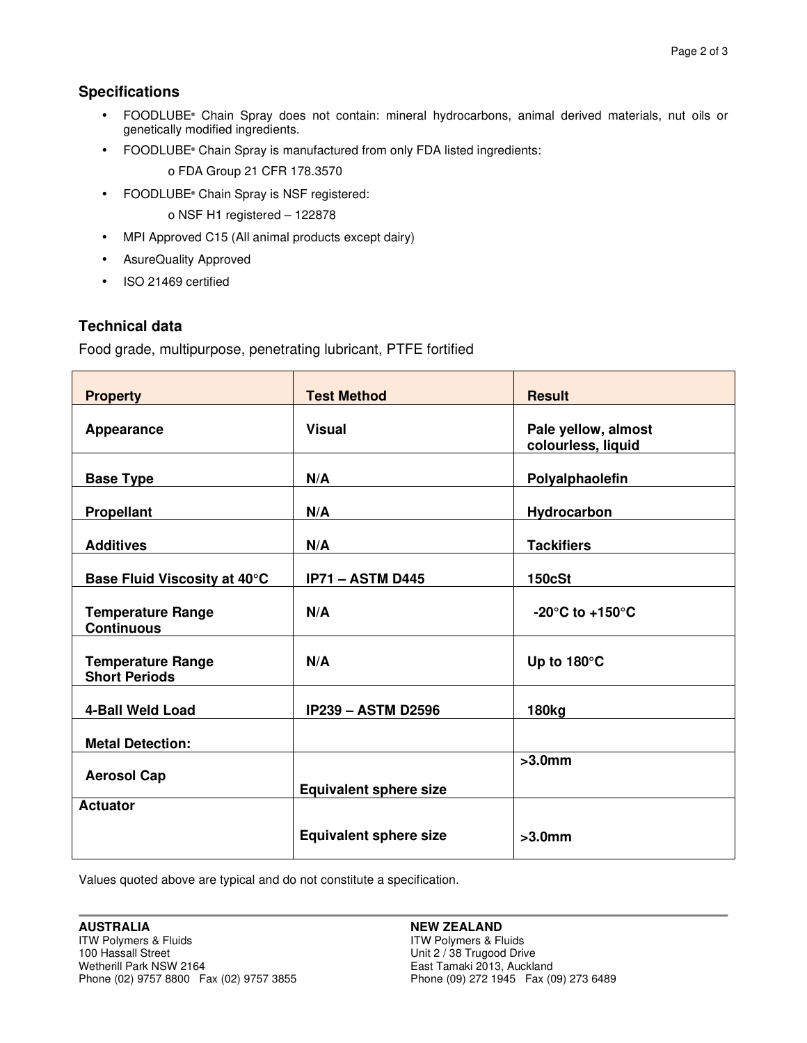## **Specifications**

- **•** FOODLUBE<sup>®</sup> Chain Spray does not contain: mineral hydrocarbons, animal derived materials, nut oils or genetically modified ingredients.
- FOODLUBE<sup>®</sup> Chain Spray is manufactured from only FDA listed ingredients:

o FDA Group 21 CFR 178.3570

• FOODLUBE**®** Chain Spray is NSF registered:

o NSF H1 registered – 122878

- MPI Approved C15 (All animal products except dairy)
- AsureQuality Approved
- ISO 21469 certified

### **Technical data**

Food grade, multipurpose, penetrating lubricant, PTFE fortified

| <b>Property</b>                                  | <b>Test Method</b>            | <b>Result</b>                             |
|--------------------------------------------------|-------------------------------|-------------------------------------------|
| Appearance                                       | <b>Visual</b>                 | Pale yellow, almost<br>colourless, liquid |
| <b>Base Type</b>                                 | N/A                           | Polyalphaolefin                           |
| <b>Propellant</b>                                | N/A                           | Hydrocarbon                               |
| <b>Additives</b>                                 | N/A                           | <b>Tackifiers</b>                         |
| Base Fluid Viscosity at 40°C                     | <b>IP71 - ASTM D445</b>       | <b>150cSt</b>                             |
| <b>Temperature Range</b><br><b>Continuous</b>    | N/A                           | -20 $^{\circ}$ C to +150 $^{\circ}$ C     |
| <b>Temperature Range</b><br><b>Short Periods</b> | N/A                           | Up to 180°C                               |
| 4-Ball Weld Load                                 | <b>IP239 - ASTM D2596</b>     | 180kg                                     |
| <b>Metal Detection:</b>                          |                               |                                           |
| <b>Aerosol Cap</b>                               | <b>Equivalent sphere size</b> | $>3.0$ mm                                 |
| <b>Actuator</b>                                  | <b>Equivalent sphere size</b> | $>3.0$ mm                                 |

Values quoted above are typical and do not constitute a specification.

#### **NEW ZEALAND**

ITW Polymers & Fluids Unit 2 / 38 Trugood Drive East Tamaki 2013, Auckland Phone (09) 272 1945 Fax (09) 273 6489